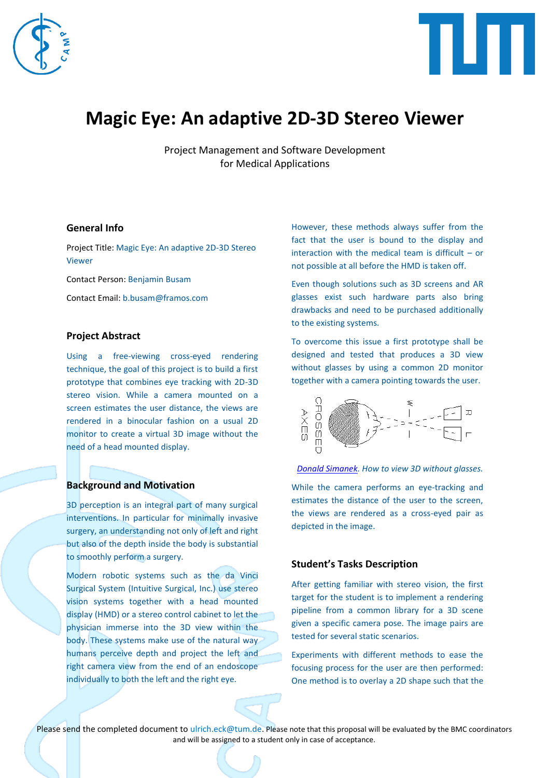



# **Magic Eye: An adaptive 2D-3D Stereo Viewer**

Project Management and Software Development for Medical Applications

## **General Info**

Project Title: Magic Eye: An adaptive 2D-3D Stereo Viewer

Contact Person: Benjamin Busam

Contact Email: b.busam@framos.com

#### **Project Abstract**

Using a free-viewing cross-eyed rendering technique, the goal of this project is to build a first prototype that combines eye tracking with 2D-3D stereo vision. While a camera mounted on a screen estimates the user distance, the views are rendered in a binocular fashion on a usual 2D monitor to create a virtual 3D image without the need of a head mounted display.

#### **Background and Motivation**

3D perception is an integral part of many surgical interventions. In particular for minimally invasive surgery, an understanding not only of left and right but also of the depth inside the body is substantial to smoothly perform a surgery.

Modern robotic systems such as the da Vinci Surgical System (Intuitive Surgical, Inc.) use stereo vision systems together with a head mounted display (HMD) or a stereo control cabinet to let the physician immerse into the 3D view within the body. These systems make use of the natural way humans perceive depth and project the left and right camera view from the end of an endoscope individually to both the left and the right eye.

However, these methods always suffer from the fact that the user is bound to the display and interaction with the medical team is difficult – or not possible at all before the HMD is taken off.

Even though solutions such as 3D screens and AR glasses exist such hardware parts also bring drawbacks and need to be purchased additionally to the existing systems.

To overcome this issue a first prototype shall be designed and tested that produces a 3D view without glasses by using a common 2D monitor together with a camera pointing towards the user.



*[Donald Simanek.](https://www.lhup.edu/~dsimanek/3d/view3d.htm) How to view 3D without glasses.*

While the camera performs an eye-tracking and estimates the distance of the user to the screen, the views are rendered as a cross-eyed pair as depicted in the image.

#### **Student's Tasks Description**

After getting familiar with stereo vision, the first target for the student is to implement a rendering pipeline from a common library for a 3D scene given a specific camera pose. The image pairs are tested for several static scenarios.

Experiments with different methods to ease the focusing process for the user are then performed: One method is to overlay a 2D shape such that the

Please send the completed document to ulrich.eck@tum.de. Please note that this proposal will be evaluated by the BMC coordinators and will be assigned to a student only in case of acceptance.